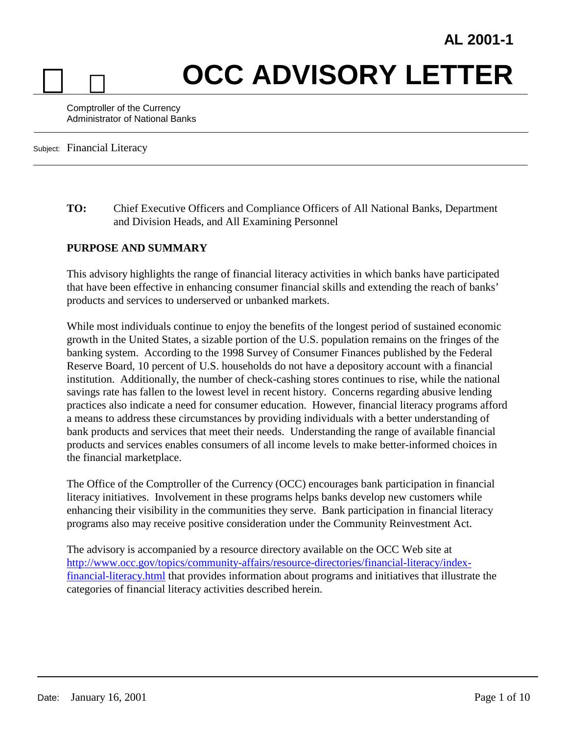# **OCC ADVISORY LETTER**

Comptroller of the Currency Administrator of National Banks

Subject: Financial Literacy

**TO:** Chief Executive Officers and Compliance Officers of All National Banks, Department and Division Heads, and All Examining Personnel

#### **PURPOSE AND SUMMARY**

This advisory highlights the range of financial literacy activities in which banks have participated that have been effective in enhancing consumer financial skills and extending the reach of banks' products and services to underserved or unbanked markets.

While most individuals continue to enjoy the benefits of the longest period of sustained economic growth in the United States, a sizable portion of the U.S. population remains on the fringes of the banking system. According to the 1998 Survey of Consumer Finances published by the Federal Reserve Board, 10 percent of U.S. households do not have a depository account with a financial institution. Additionally, the number of check-cashing stores continues to rise, while the national savings rate has fallen to the lowest level in recent history. Concerns regarding abusive lending practices also indicate a need for consumer education. However, financial literacy programs afford a means to address these circumstances by providing individuals with a better understanding of bank products and services that meet their needs. Understanding the range of available financial products and services enables consumers of all income levels to make better-informed choices in the financial marketplace.

The Office of the Comptroller of the Currency (OCC) encourages bank participation in financial literacy initiatives. Involvement in these programs helps banks develop new customers while enhancing their visibility in the communities they serve. Bank participation in financial literacy programs also may receive positive consideration under the Community Reinvestment Act.

The advisory is accompanied by a resource directory available on the OCC Web site at [http://www.occ.gov/topics/community-affairs/resource-directories/financial-literacy/index](http://www.occ.gov/topics/community-affairs/resource-directories/financial-literacy/index-financial-literacy.html)[financial-literacy.html](http://www.occ.gov/topics/community-affairs/resource-directories/financial-literacy/index-financial-literacy.html) that provides information about programs and initiatives that illustrate the categories of financial literacy activities described herein.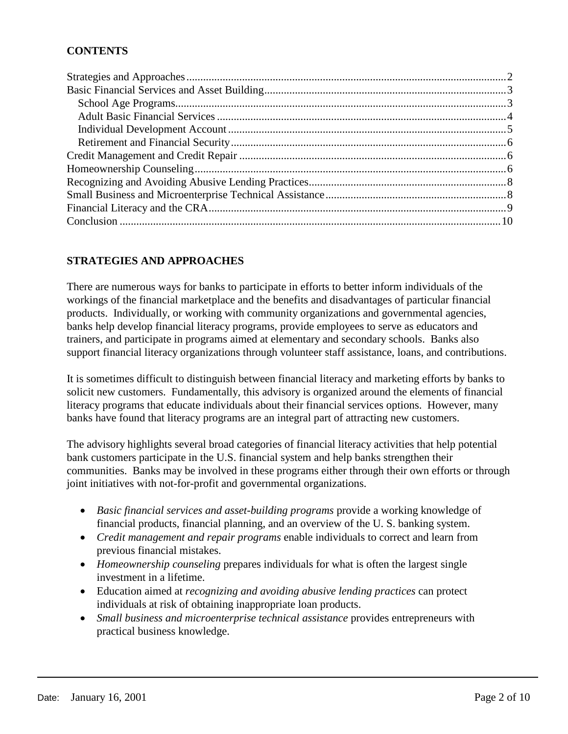# **CONTENTS**

## **STRATEGIES AND APPROACHES**

There are numerous ways for banks to participate in efforts to better inform individuals of the workings of the financial marketplace and the benefits and disadvantages of particular financial products. Individually, or working with community organizations and governmental agencies, banks help develop financial literacy programs, provide employees to serve as educators and trainers, and participate in programs aimed at elementary and secondary schools. Banks also support financial literacy organizations through volunteer staff assistance, loans, and contributions.

It is sometimes difficult to distinguish between financial literacy and marketing efforts by banks to solicit new customers. Fundamentally, this advisory is organized around the elements of financial literacy programs that educate individuals about their financial services options. However, many banks have found that literacy programs are an integral part of attracting new customers.

The advisory highlights several broad categories of financial literacy activities that help potential bank customers participate in the U.S. financial system and help banks strengthen their communities. Banks may be involved in these programs either through their own efforts or through joint initiatives with not-for-profit and governmental organizations.

- *Basic financial services and asset-building programs* provide a working knowledge of financial products, financial planning, and an overview of the U. S. banking system.
- *Credit management and repair programs* enable individuals to correct and learn from previous financial mistakes.
- *Homeownership counseling* prepares individuals for what is often the largest single investment in a lifetime.
- Education aimed at *recognizing and avoiding abusive lending practices* can protect individuals at risk of obtaining inappropriate loan products.
- *Small business and microenterprise technical assistance* provides entrepreneurs with practical business knowledge.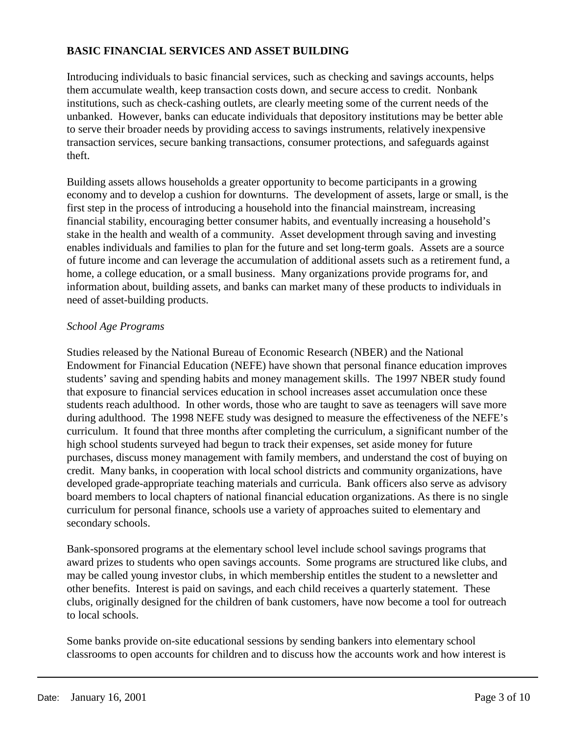## **BASIC FINANCIAL SERVICES AND ASSET BUILDING**

Introducing individuals to basic financial services, such as checking and savings accounts, helps them accumulate wealth, keep transaction costs down, and secure access to credit. Nonbank institutions, such as check-cashing outlets, are clearly meeting some of the current needs of the unbanked. However, banks can educate individuals that depository institutions may be better able to serve their broader needs by providing access to savings instruments, relatively inexpensive transaction services, secure banking transactions, consumer protections, and safeguards against theft.

Building assets allows households a greater opportunity to become participants in a growing economy and to develop a cushion for downturns. The development of assets, large or small, is the first step in the process of introducing a household into the financial mainstream, increasing financial stability, encouraging better consumer habits, and eventually increasing a household's stake in the health and wealth of a community. Asset development through saving and investing enables individuals and families to plan for the future and set long-term goals. Assets are a source of future income and can leverage the accumulation of additional assets such as a retirement fund, a home, a college education, or a small business. Many organizations provide programs for, and information about, building assets, and banks can market many of these products to individuals in need of asset-building products.

#### *School Age Programs*

Studies released by the National Bureau of Economic Research (NBER) and the National Endowment for Financial Education (NEFE) have shown that personal finance education improves students' saving and spending habits and money management skills. The 1997 NBER study found that exposure to financial services education in school increases asset accumulation once these students reach adulthood. In other words, those who are taught to save as teenagers will save more during adulthood. The 1998 NEFE study was designed to measure the effectiveness of the NEFE's curriculum. It found that three months after completing the curriculum, a significant number of the high school students surveyed had begun to track their expenses, set aside money for future purchases, discuss money management with family members, and understand the cost of buying on credit. Many banks, in cooperation with local school districts and community organizations, have developed grade-appropriate teaching materials and curricula. Bank officers also serve as advisory board members to local chapters of national financial education organizations. As there is no single curriculum for personal finance, schools use a variety of approaches suited to elementary and secondary schools.

Bank-sponsored programs at the elementary school level include school savings programs that award prizes to students who open savings accounts. Some programs are structured like clubs, and may be called young investor clubs, in which membership entitles the student to a newsletter and other benefits. Interest is paid on savings, and each child receives a quarterly statement. These clubs, originally designed for the children of bank customers, have now become a tool for outreach to local schools.

Some banks provide on-site educational sessions by sending bankers into elementary school classrooms to open accounts for children and to discuss how the accounts work and how interest is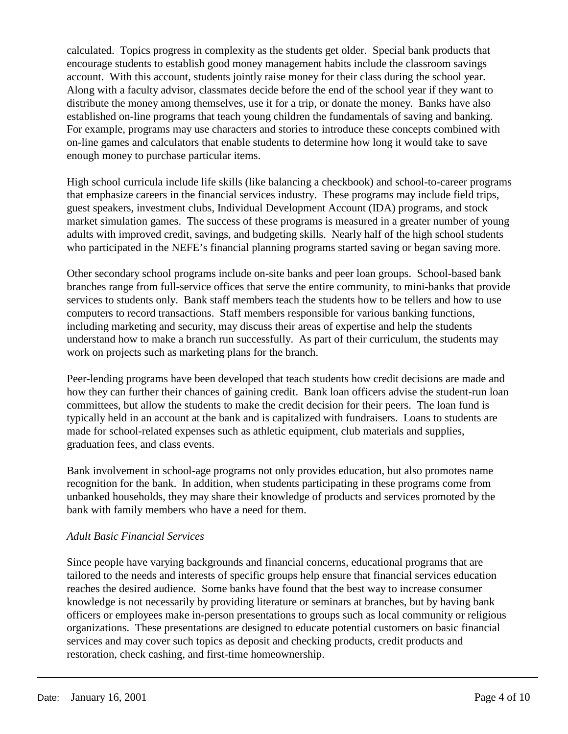calculated. Topics progress in complexity as the students get older. Special bank products that encourage students to establish good money management habits include the classroom savings account. With this account, students jointly raise money for their class during the school year. Along with a faculty advisor, classmates decide before the end of the school year if they want to distribute the money among themselves, use it for a trip, or donate the money. Banks have also established on-line programs that teach young children the fundamentals of saving and banking. For example, programs may use characters and stories to introduce these concepts combined with on-line games and calculators that enable students to determine how long it would take to save enough money to purchase particular items.

High school curricula include life skills (like balancing a checkbook) and school-to-career programs that emphasize careers in the financial services industry. These programs may include field trips, guest speakers, investment clubs, Individual Development Account (IDA) programs, and stock market simulation games. The success of these programs is measured in a greater number of young adults with improved credit, savings, and budgeting skills. Nearly half of the high school students who participated in the NEFE's financial planning programs started saving or began saving more.

Other secondary school programs include on-site banks and peer loan groups. School-based bank branches range from full-service offices that serve the entire community, to mini-banks that provide services to students only. Bank staff members teach the students how to be tellers and how to use computers to record transactions. Staff members responsible for various banking functions, including marketing and security, may discuss their areas of expertise and help the students understand how to make a branch run successfully. As part of their curriculum, the students may work on projects such as marketing plans for the branch.

Peer-lending programs have been developed that teach students how credit decisions are made and how they can further their chances of gaining credit. Bank loan officers advise the student-run loan committees, but allow the students to make the credit decision for their peers. The loan fund is typically held in an account at the bank and is capitalized with fundraisers. Loans to students are made for school-related expenses such as athletic equipment, club materials and supplies, graduation fees, and class events.

Bank involvement in school-age programs not only provides education, but also promotes name recognition for the bank. In addition, when students participating in these programs come from unbanked households, they may share their knowledge of products and services promoted by the bank with family members who have a need for them.

#### *Adult Basic Financial Services*

Since people have varying backgrounds and financial concerns, educational programs that are tailored to the needs and interests of specific groups help ensure that financial services education reaches the desired audience. Some banks have found that the best way to increase consumer knowledge is not necessarily by providing literature or seminars at branches, but by having bank officers or employees make in-person presentations to groups such as local community or religious organizations. These presentations are designed to educate potential customers on basic financial services and may cover such topics as deposit and checking products, credit products and restoration, check cashing, and first-time homeownership.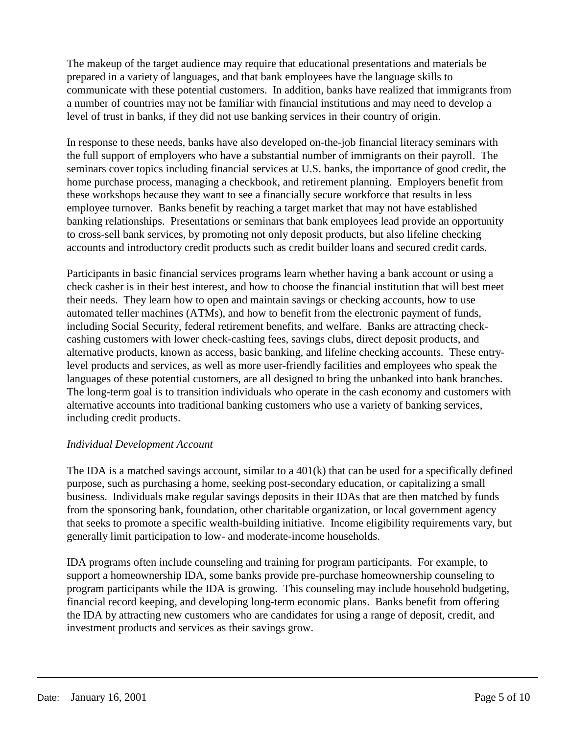The makeup of the target audience may require that educational presentations and materials be prepared in a variety of languages, and that bank employees have the language skills to communicate with these potential customers. In addition, banks have realized that immigrants from a number of countries may not be familiar with financial institutions and may need to develop a level of trust in banks, if they did not use banking services in their country of origin.

In response to these needs, banks have also developed on-the-job financial literacy seminars with the full support of employers who have a substantial number of immigrants on their payroll. The seminars cover topics including financial services at U.S. banks, the importance of good credit, the home purchase process, managing a checkbook, and retirement planning. Employers benefit from these workshops because they want to see a financially secure workforce that results in less employee turnover. Banks benefit by reaching a target market that may not have established banking relationships. Presentations or seminars that bank employees lead provide an opportunity to cross-sell bank services, by promoting not only deposit products, but also lifeline checking accounts and introductory credit products such as credit builder loans and secured credit cards.

Participants in basic financial services programs learn whether having a bank account or using a check casher is in their best interest, and how to choose the financial institution that will best meet their needs. They learn how to open and maintain savings or checking accounts, how to use automated teller machines (ATMs), and how to benefit from the electronic payment of funds, including Social Security, federal retirement benefits, and welfare. Banks are attracting checkcashing customers with lower check-cashing fees, savings clubs, direct deposit products, and alternative products, known as access, basic banking, and lifeline checking accounts. These entrylevel products and services, as well as more user-friendly facilities and employees who speak the languages of these potential customers, are all designed to bring the unbanked into bank branches. The long-term goal is to transition individuals who operate in the cash economy and customers with alternative accounts into traditional banking customers who use a variety of banking services, including credit products.

#### *Individual Development Account*

The IDA is a matched savings account, similar to a 401(k) that can be used for a specifically defined purpose, such as purchasing a home, seeking post-secondary education, or capitalizing a small business. Individuals make regular savings deposits in their IDAs that are then matched by funds from the sponsoring bank, foundation, other charitable organization, or local government agency that seeks to promote a specific wealth-building initiative. Income eligibility requirements vary, but generally limit participation to low- and moderate-income households.

IDA programs often include counseling and training for program participants. For example, to support a homeownership IDA, some banks provide pre-purchase homeownership counseling to program participants while the IDA is growing. This counseling may include household budgeting, financial record keeping, and developing long-term economic plans. Banks benefit from offering the IDA by attracting new customers who are candidates for using a range of deposit, credit, and investment products and services as their savings grow.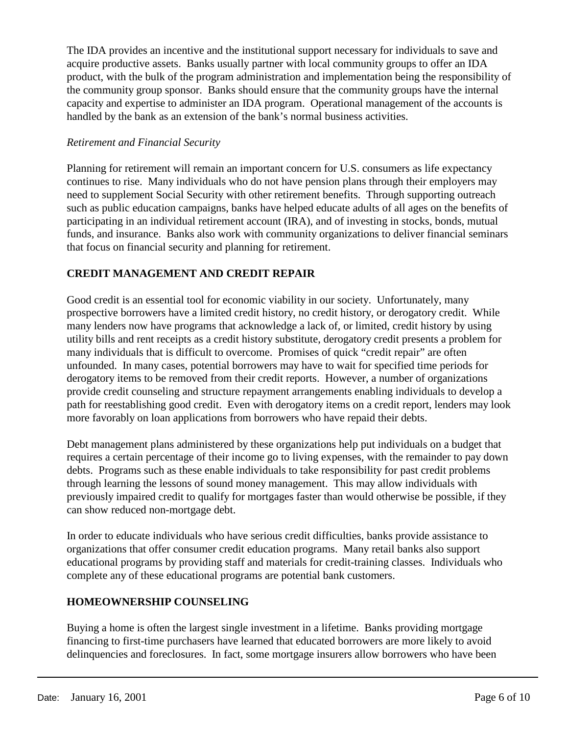The IDA provides an incentive and the institutional support necessary for individuals to save and acquire productive assets. Banks usually partner with local community groups to offer an IDA product, with the bulk of the program administration and implementation being the responsibility of the community group sponsor. Banks should ensure that the community groups have the internal capacity and expertise to administer an IDA program. Operational management of the accounts is handled by the bank as an extension of the bank's normal business activities.

#### *Retirement and Financial Security*

Planning for retirement will remain an important concern for U.S. consumers as life expectancy continues to rise. Many individuals who do not have pension plans through their employers may need to supplement Social Security with other retirement benefits. Through supporting outreach such as public education campaigns, banks have helped educate adults of all ages on the benefits of participating in an individual retirement account (IRA), and of investing in stocks, bonds, mutual funds, and insurance. Banks also work with community organizations to deliver financial seminars that focus on financial security and planning for retirement.

# **CREDIT MANAGEMENT AND CREDIT REPAIR**

Good credit is an essential tool for economic viability in our society. Unfortunately, many prospective borrowers have a limited credit history, no credit history, or derogatory credit. While many lenders now have programs that acknowledge a lack of, or limited, credit history by using utility bills and rent receipts as a credit history substitute, derogatory credit presents a problem for many individuals that is difficult to overcome. Promises of quick "credit repair" are often unfounded. In many cases, potential borrowers may have to wait for specified time periods for derogatory items to be removed from their credit reports. However, a number of organizations provide credit counseling and structure repayment arrangements enabling individuals to develop a path for reestablishing good credit. Even with derogatory items on a credit report, lenders may look more favorably on loan applications from borrowers who have repaid their debts.

Debt management plans administered by these organizations help put individuals on a budget that requires a certain percentage of their income go to living expenses, with the remainder to pay down debts. Programs such as these enable individuals to take responsibility for past credit problems through learning the lessons of sound money management. This may allow individuals with previously impaired credit to qualify for mortgages faster than would otherwise be possible, if they can show reduced non-mortgage debt.

In order to educate individuals who have serious credit difficulties, banks provide assistance to organizations that offer consumer credit education programs. Many retail banks also support educational programs by providing staff and materials for credit-training classes. Individuals who complete any of these educational programs are potential bank customers.

# **HOMEOWNERSHIP COUNSELING**

Buying a home is often the largest single investment in a lifetime. Banks providing mortgage financing to first-time purchasers have learned that educated borrowers are more likely to avoid delinquencies and foreclosures. In fact, some mortgage insurers allow borrowers who have been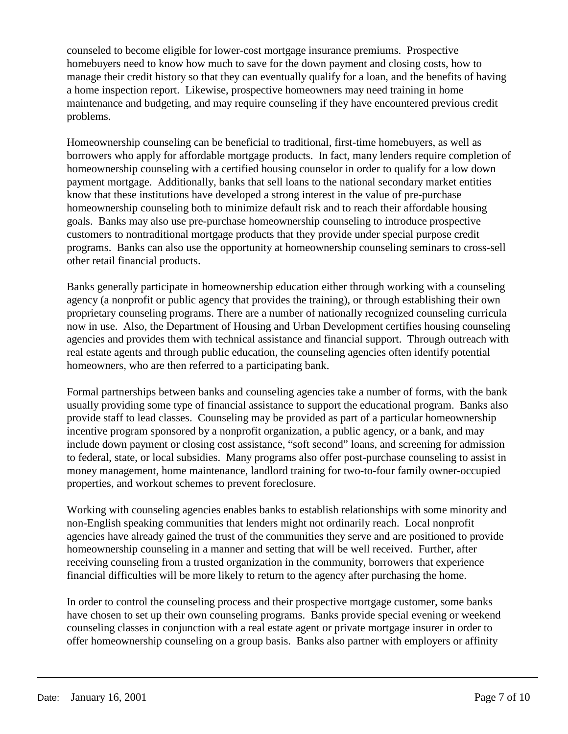counseled to become eligible for lower-cost mortgage insurance premiums.Prospective homebuyers need to know how much to save for the down payment and closing costs, how to manage their credit history so that they can eventually qualify for a loan, and the benefits of having a home inspection report. Likewise, prospective homeowners may need training in home maintenance and budgeting, and may require counseling if they have encountered previous credit problems.

Homeownership counseling can be beneficial to traditional, first-time homebuyers, as well as borrowers who apply for affordable mortgage products. In fact, many lenders require completion of homeownership counseling with a certified housing counselor in order to qualify for a low down payment mortgage. Additionally, banks that sell loans to the national secondary market entities know that these institutions have developed a strong interest in the value of pre-purchase homeownership counseling both to minimize default risk and to reach their affordable housing goals. Banks may also use pre-purchase homeownership counseling to introduce prospective customers to nontraditional mortgage products that they provide under special purpose credit programs. Banks can also use the opportunity at homeownership counseling seminars to cross-sell other retail financial products.

Banks generally participate in homeownership education either through working with a counseling agency (a nonprofit or public agency that provides the training), or through establishing their own proprietary counseling programs. There are a number of nationally recognized counseling curricula now in use. Also, the Department of Housing and Urban Development certifies housing counseling agencies and provides them with technical assistance and financial support. Through outreach with real estate agents and through public education, the counseling agencies often identify potential homeowners, who are then referred to a participating bank.

Formal partnerships between banks and counseling agencies take a number of forms, with the bank usually providing some type of financial assistance to support the educational program. Banks also provide staff to lead classes. Counseling may be provided as part of a particular homeownership incentive program sponsored by a nonprofit organization, a public agency, or a bank, and may include down payment or closing cost assistance, "soft second" loans, and screening for admission to federal, state, or local subsidies. Many programs also offer post-purchase counseling to assist in money management, home maintenance, landlord training for two-to-four family owner-occupied properties, and workout schemes to prevent foreclosure.

Working with counseling agencies enables banks to establish relationships with some minority and non-English speaking communities that lenders might not ordinarily reach. Local nonprofit agencies have already gained the trust of the communities they serve and are positioned to provide homeownership counseling in a manner and setting that will be well received. Further, after receiving counseling from a trusted organization in the community, borrowers that experience financial difficulties will be more likely to return to the agency after purchasing the home.

In order to control the counseling process and their prospective mortgage customer, some banks have chosen to set up their own counseling programs. Banks provide special evening or weekend counseling classes in conjunction with a real estate agent or private mortgage insurer in order to offer homeownership counseling on a group basis. Banks also partner with employers or affinity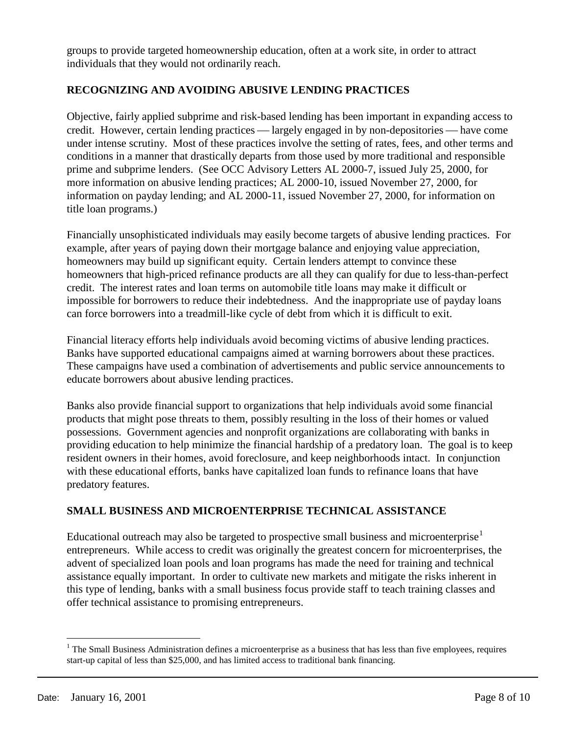groups to provide targeted homeownership education, often at a work site, in order to attract individuals that they would not ordinarily reach.

## **RECOGNIZING AND AVOIDING ABUSIVE LENDING PRACTICES**

Objective, fairly applied subprime and risk-based lending has been important in expanding access to credit. However, certain lending practices — largely engaged in by non-depositories — have come under intense scrutiny. Most of these practices involve the setting of rates, fees, and other terms and conditions in a manner that drastically departs from those used by more traditional and responsible prime and subprime lenders. (See OCC Advisory Letters AL 2000-7, issued July 25, 2000, for more information on abusive lending practices; AL 2000-10, issued November 27, 2000, for information on payday lending; and AL 2000-11, issued November 27, 2000, for information on title loan programs.)

Financially unsophisticated individuals may easily become targets of abusive lending practices. For example, after years of paying down their mortgage balance and enjoying value appreciation, homeowners may build up significant equity. Certain lenders attempt to convince these homeowners that high-priced refinance products are all they can qualify for due to less-than-perfect credit. The interest rates and loan terms on automobile title loans may make it difficult or impossible for borrowers to reduce their indebtedness. And the inappropriate use of payday loans can force borrowers into a treadmill-like cycle of debt from which it is difficult to exit.

Financial literacy efforts help individuals avoid becoming victims of abusive lending practices. Banks have supported educational campaigns aimed at warning borrowers about these practices. These campaigns have used a combination of advertisements and public service announcements to educate borrowers about abusive lending practices.

Banks also provide financial support to organizations that help individuals avoid some financial products that might pose threats to them, possibly resulting in the loss of their homes or valued possessions. Government agencies and nonprofit organizations are collaborating with banks in providing education to help minimize the financial hardship of a predatory loan. The goal is to keep resident owners in their homes, avoid foreclosure, and keep neighborhoods intact. In conjunction with these educational efforts, banks have capitalized loan funds to refinance loans that have predatory features.

#### **SMALL BUSINESS AND MICROENTERPRISE TECHNICAL ASSISTANCE**

Educational outreach may also be targeted to prospective small business and microenterprise<sup>[1](#page-7-0)</sup> entrepreneurs. While access to credit was originally the greatest concern for microenterprises, the advent of specialized loan pools and loan programs has made the need for training and technical assistance equally important. In order to cultivate new markets and mitigate the risks inherent in this type of lending, banks with a small business focus provide staff to teach training classes and offer technical assistance to promising entrepreneurs.

<span id="page-7-0"></span> $<sup>1</sup>$  The Small Business Administration defines a microenterprise as a business that has less than five employees, requires</sup> start-up capital of less than \$25,000, and has limited access to traditional bank financing.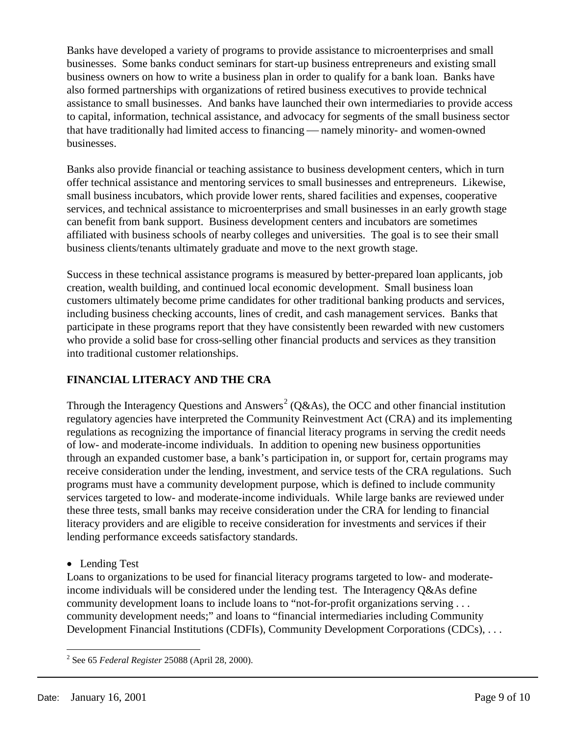Banks have developed a variety of programs to provide assistance to microenterprises and small businesses. Some banks conduct seminars for start-up business entrepreneurs and existing small business owners on how to write a business plan in order to qualify for a bank loan. Banks have also formed partnerships with organizations of retired business executives to provide technical assistance to small businesses. And banks have launched their own intermediaries to provide access to capital, information, technical assistance, and advocacy for segments of the small business sector that have traditionally had limited access to financing — namely minority- and women-owned businesses.

Banks also provide financial or teaching assistance to business development centers, which in turn offer technical assistance and mentoring services to small businesses and entrepreneurs. Likewise, small business incubators, which provide lower rents, shared facilities and expenses, cooperative services, and technical assistance to microenterprises and small businesses in an early growth stage can benefit from bank support. Business development centers and incubators are sometimes affiliated with business schools of nearby colleges and universities. The goal is to see their small business clients/tenants ultimately graduate and move to the next growth stage.

Success in these technical assistance programs is measured by better-prepared loan applicants, job creation, wealth building, and continued local economic development. Small business loan customers ultimately become prime candidates for other traditional banking products and services, including business checking accounts, lines of credit, and cash management services. Banks that participate in these programs report that they have consistently been rewarded with new customers who provide a solid base for cross-selling other financial products and services as they transition into traditional customer relationships.

# **FINANCIAL LITERACY AND THE CRA**

Through the Interagency Questions and Answers<sup>[2](#page-8-0)</sup> (Q&As), the OCC and other financial institution regulatory agencies have interpreted the Community Reinvestment Act (CRA) and its implementing regulations as recognizing the importance of financial literacy programs in serving the credit needs of low- and moderate-income individuals. In addition to opening new business opportunities through an expanded customer base, a bank's participation in, or support for, certain programs may receive consideration under the lending, investment, and service tests of the CRA regulations. Such programs must have a community development purpose, which is defined to include community services targeted to low- and moderate-income individuals. While large banks are reviewed under these three tests, small banks may receive consideration under the CRA for lending to financial literacy providers and are eligible to receive consideration for investments and services if their lending performance exceeds satisfactory standards.

• Lending Test

Loans to organizations to be used for financial literacy programs targeted to low- and moderateincome individuals will be considered under the lending test. The Interagency Q&As define community development loans to include loans to "not-for-profit organizations serving . . . community development needs;" and loans to "financial intermediaries including Community Development Financial Institutions (CDFIs), Community Development Corporations (CDCs), . . .

<span id="page-8-0"></span> <sup>2</sup> See 65 *Federal Register* 25088 (April 28, 2000).